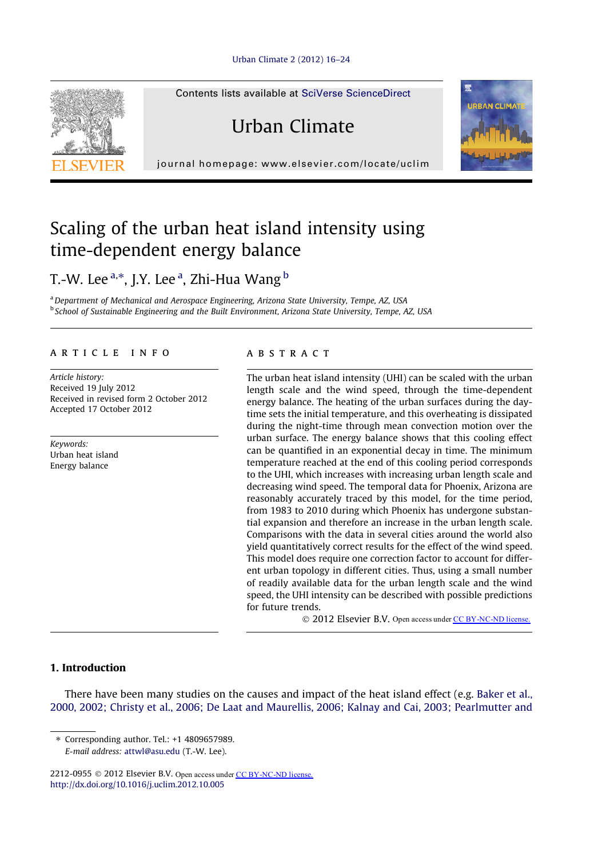

Contents lists available at [SciVerse ScienceDirect](http://www.sciencedirect.com/science/journal/22120955)

# Urban Climate

journal homepage: [www.elsevier.com/locate/uclim](http://www.elsevier.com/locate/uclim)

## Scaling of the urban heat island intensity using time-dependent energy balance

### T.-W. Lee <sup>a,\*</sup>, J.Y. Lee <sup>a</sup>, Zhi-Hua Wang <sup>b</sup>

a Department of Mechanical and Aerospace Engineering, Arizona State University, Tempe, AZ, USA <sup>b</sup> School of Sustainable Engineering and the Built Environment, Arizona State University, Tempe, AZ, USA

#### article info

Article history: Received 19 July 2012 Received in revised form 2 October 2012 Accepted 17 October 2012

Keywords: Urban heat island Energy balance

#### **ABSTRACT**

The urban heat island intensity (UHI) can be scaled with the urban length scale and the wind speed, through the time-dependent energy balance. The heating of the urban surfaces during the daytime sets the initial temperature, and this overheating is dissipated during the night-time through mean convection motion over the urban surface. The energy balance shows that this cooling effect can be quantified in an exponential decay in time. The minimum temperature reached at the end of this cooling period corresponds to the UHI, which increases with increasing urban length scale and decreasing wind speed. The temporal data for Phoenix, Arizona are reasonably accurately traced by this model, for the time period, from 1983 to 2010 during which Phoenix has undergone substantial expansion and therefore an increase in the urban length scale. Comparisons with the data in several cities around the world also yield quantitatively correct results for the effect of the wind speed. This model does require one correction factor to account for different urban topology in different cities. Thus, using a small number of readily available data for the urban length scale and the wind speed, the UHI intensity can be described with possible predictions for future trends.

**PRANCLIM** 

© 2012 Elsevier B.V. Open access under [CC BY-NC-ND license.](http://creativecommons.org/licenses/by-nc-nd/4.0/)

#### 1. Introduction

There have been many studies on the causes and impact of the heat island effect (e.g. [Baker et al.,](#page--1-0) [2000, 2002; Christy et al., 2006; De Laat and Maurellis, 2006; Kalnay and Cai, 2003; Pearlmutter and](#page--1-0)

2212-0955 © 2012 Elsevier B.V. Open access under [CC BY-NC-ND license.](http://creativecommons.org/licenses/by-nc-nd/4.0/) <http://dx.doi.org/10.1016/j.uclim.2012.10.005>

<sup>⇑</sup> Corresponding author. Tel.: +1 4809657989. E-mail address: [attwl@asu.edu](mailto:attwl@asu.edu) (T.-W. Lee).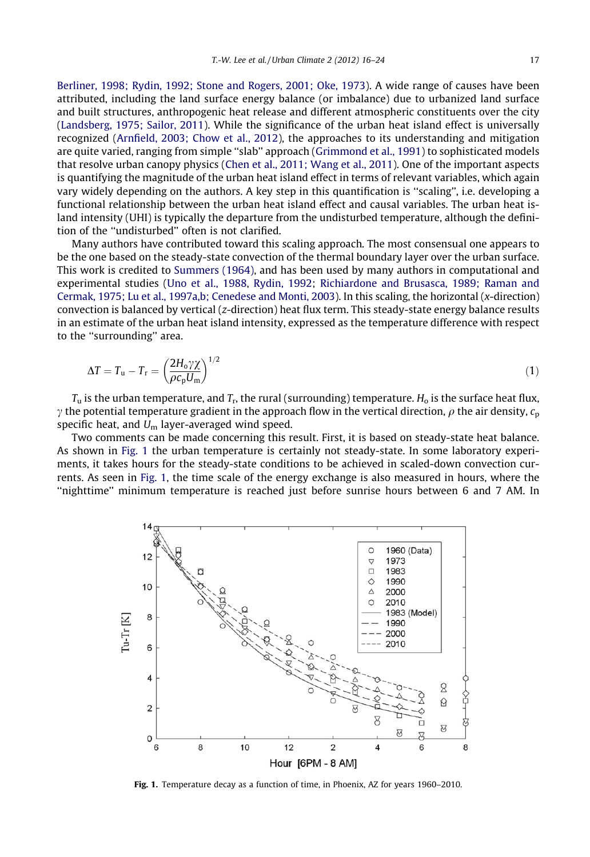[Berliner, 1998; Rydin, 1992; Stone and Rogers, 2001; Oke, 1973\)](#page--1-0). A wide range of causes have been attributed, including the land surface energy balance (or imbalance) due to urbanized land surface and built structures, anthropogenic heat release and different atmospheric constituents over the city [\(Landsberg, 1975; Sailor, 2011\)](#page--1-0). While the significance of the urban heat island effect is universally recognized ([Arnfield, 2003; Chow et al., 2012\)](#page--1-0), the approaches to its understanding and mitigation are quite varied, ranging from simple ''slab'' approach [\(Grimmond et al., 1991](#page--1-0)) to sophisticated models that resolve urban canopy physics ([Chen et al., 2011; Wang et al., 2011\)](#page--1-0). One of the important aspects is quantifying the magnitude of the urban heat island effect in terms of relevant variables, which again vary widely depending on the authors. A key step in this quantification is ''scaling'', i.e. developing a functional relationship between the urban heat island effect and causal variables. The urban heat island intensity (UHI) is typically the departure from the undisturbed temperature, although the definition of the ''undisturbed'' often is not clarified.

Many authors have contributed toward this scaling approach. The most consensual one appears to be the one based on the steady-state convection of the thermal boundary layer over the urban surface. This work is credited to [Summers \(1964\)](#page--1-0), and has been used by many authors in computational and experimental studies ([Uno et al., 1988,](#page--1-0) [Rydin, 1992;](#page--1-0) [Richiardone and Brusasca, 1989; Raman and](#page--1-0) [Cermak, 1975; Lu et al., 1997a,b; Cenedese and Monti, 2003\)](#page--1-0). In this scaling, the horizontal (x-direction) convection is balanced by vertical (z-direction) heat flux term. This steady-state energy balance results in an estimate of the urban heat island intensity, expressed as the temperature difference with respect to the ''surrounding'' area.

$$
\Delta T = T_{\rm u} - T_{\rm r} = \left(\frac{2H_{\rm o}\gamma\chi}{\rho c_{\rm p}U_{\rm m}}\right)^{1/2} \tag{1}
$$

 $T_u$  is the urban temperature, and  $T_r$ , the rural (surrounding) temperature.  $H_0$  is the surface heat flux,  $\gamma$  the potential temperature gradient in the approach flow in the vertical direction,  $\rho$  the air density,  $c_p$ specific heat, and  $U_m$  layer-averaged wind speed.

Two comments can be made concerning this result. First, it is based on steady-state heat balance. As shown in Fig. 1 the urban temperature is certainly not steady-state. In some laboratory experiments, it takes hours for the steady-state conditions to be achieved in scaled-down convection currents. As seen in Fig. 1, the time scale of the energy exchange is also measured in hours, where the ''nighttime'' minimum temperature is reached just before sunrise hours between 6 and 7 AM. In



Fig. 1. Temperature decay as a function of time, in Phoenix, AZ for years 1960–2010.